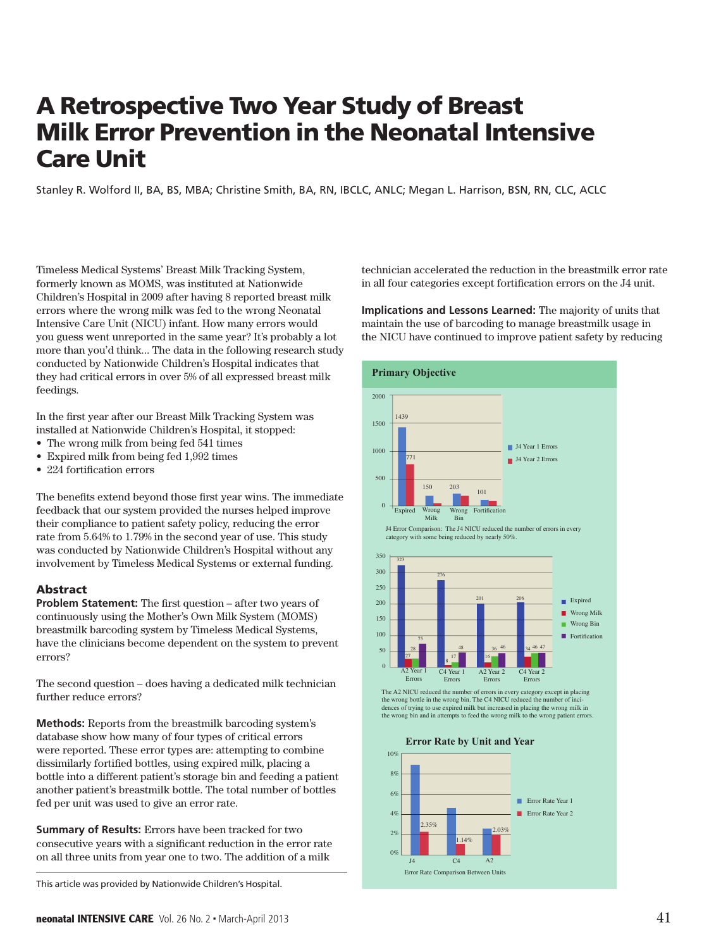# A Retrospective Two Year Study of Breast **Milk Error Prevention in the Neonatal Intensive Care Unit**

Stanley R. Wolford II, BA, BS, MBA; Christine Smith, BA, RN, IBCLC, ANLC; Megan L. Harrison, BSN, RN, CLC, ACLC were attempted to be federal to be federal by 22% (from 541 to 426 to 426 to 426 to 426 to 426 to 426 to 426 to

Timeless Medical Systems' Breast Milk Tracking System, formerly known as MOMS, was instituted at Nationwide Children's Hospital in 2009 after having 8 reported breast milk errors where the wrong milk was fed to the wrong Neonatal Intensive Care Unit (NICU) infant. How many errors would you guess went unreported in the same year? It's probably a lot more than you'd think... The data in the following research study conducted by Nationwide Children's Hospital indicates that they had critical errors in over 5% of all expressed breast milk feedings.

In the first year after our Breast Milk Tracking System was installed at Nationwide Children's Hospital, it stopped:

- The wrong milk from being fed 541 times
- Expired milk from being fed 1,992 times
- $\bullet$  224 fortification errors

The benefits extend beyond those first year wins. The immediate The seneme enterta say one also have not your which the mandella<br>feedback that our system provided the nurses helped improve their compliance to patient safety policy, reducing the error rate from  $5.64\%$  to  $1.79\%$  in the second year of use. This study was conducted by Nationwide Children's Hospital without any involvement by Timeless Medical Systems or external funding. statement and we had a they had were unable to use the use work-around the theory of the theory of the theory of the theory of the theory of the theory of the theory of the theory of the theory of the theory of the theory

## Abstract

**Problem Statement:** The first question – after two years of continuously using the Mother's Own Milk System (MOMS) breastmilk barcoding system by Timeless Medical Systems, have the clinicians become dependent on the system to prevent errors?

The second question - does having a dedicated milk technician further reduce errors?

**Methods:** Reports from the breastmilk barcoding system's database show how many of four types of critical errors were reported. These error types are: attempting to combine dissimilarly fortified bottles, using expired milk, placing a **Findings** bottle into a different patient's storage bin and feeding a patient another patient's breastmilk bottle. The total number of bottles fed per unit was used to give an error rate.

**Summary of Results:** Errors have been tracked for two consecutive years with a significant reduction in the error rate on all three units from year one to two. The addition of a milk **ummary of Results:** Errors have been tracked for two

This article was provided by Nationwide Children's Hospital.

technician accelerated the reduction in the breastmilk error rate in all four categories except fortification errors on the J4 unit.

**Implications and Lessons Learned:** The majority of units that maintain the use of barcoding to manage breastmilk usage in the NICU have continued to improve patient safety by reducing implications and Lessons Learned: The majority of units that



The A2 NICU reduced the number of errors in every category except in placing<br>the wrong bottle in the wrong bin. The C4 NICU reduced the number of incidences of trying to use expired milk but increased in placing the wrong milk in the wrong bin and in attempts to feed the wrong milk to the wrong patient error.